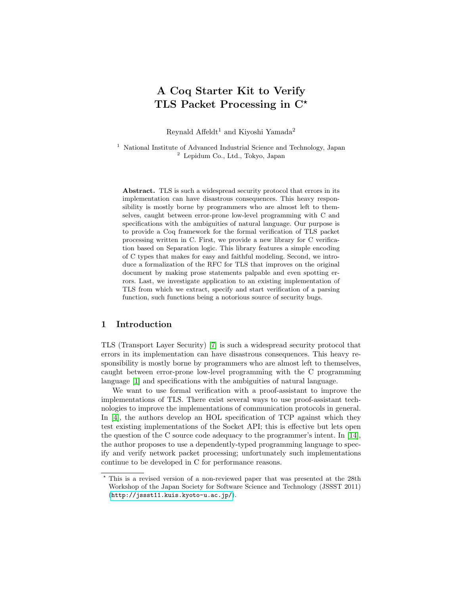# A Coq Starter Kit to Verify TLS Packet Processing in  $C^*$

Reynald Affeldt<sup>1</sup> and Kiyoshi Yamada<sup>2</sup>

<sup>1</sup> National Institute of Advanced Industrial Science and Technology, Japan <sup>2</sup> Lepidum Co., Ltd., Tokyo, Japan

Abstract. TLS is such a widespread security protocol that errors in its implementation can have disastrous consequences. This heavy responsibility is mostly borne by programmers who are almost left to themselves, caught between error-prone low-level programming with C and specifications with the ambiguities of natural language. Our purpose is to provide a Coq framework for the formal verification of TLS packet processing written in C. First, we provide a new library for C verification based on Separation logic. This library features a simple encoding of C types that makes for easy and faithful modeling. Second, we introduce a formalization of the RFC for TLS that improves on the original document by making prose statements palpable and even spotting errors. Last, we investigate application to an existing implementation of TLS from which we extract, specify and start verification of a parsing function, such functions being a notorious source of security bugs.

## 1 Introduction

TLS (Transport Layer Security) [\[7\]](#page-14-0) is such a widespread security protocol that errors in its implementation can have disastrous consequences. This heavy responsibility is mostly borne by programmers who are almost left to themselves, caught between error-prone low-level programming with the C programming language [\[1\]](#page-14-1) and specifications with the ambiguities of natural language.

We want to use formal verification with a proof-assistant to improve the implementations of TLS. There exist several ways to use proof-assistant technologies to improve the implementations of communication protocols in general. In [\[4\]](#page-14-2), the authors develop an HOL specification of TCP against which they test existing implementations of the Socket API; this is effective but lets open the question of the C source code adequacy to the programmer's intent. In [\[14\]](#page-14-3), the author proposes to use a dependently-typed programming language to specify and verify network packet processing; unfortunately such implementations continue to be developed in C for performance reasons.

<sup>?</sup> This is a revised version of a non-reviewed paper that was presented at the 28th Workshop of the Japan Society for Software Science and Technology (JSSST 2011) (<http://jssst11.kuis.kyoto-u.ac.jp/>).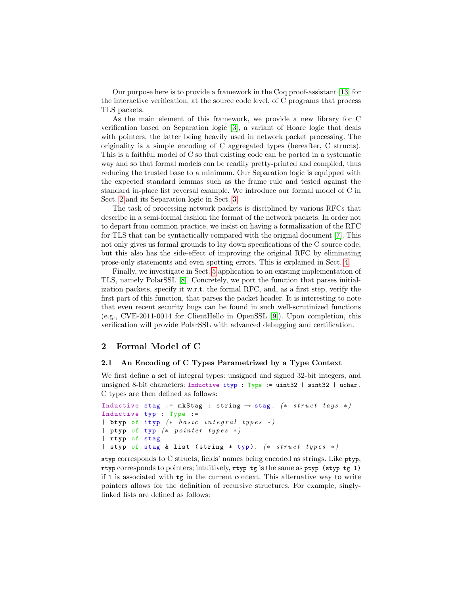Our purpose here is to provide a framework in the Coq proof-assistant [\[13\]](#page-14-4) for the interactive verification, at the source code level, of C programs that process TLS packets.

As the main element of this framework, we provide a new library for C verification based on Separation logic [\[3\]](#page-14-5), a variant of Hoare logic that deals with pointers, the latter being heavily used in network packet processing. The originality is a simple encoding of C aggregated types (hereafter, C structs). This is a faithful model of C so that existing code can be ported in a systematic way and so that formal models can be readily pretty-printed and compiled, thus reducing the trusted base to a minimum. Our Separation logic is equipped with the expected standard lemmas such as the frame rule and tested against the standard in-place list reversal example. We introduce our formal model of C in Sect. [2](#page-1-0) and its Separation logic in Sect. [3.](#page-5-0)

The task of processing network packets is disciplined by various RFCs that describe in a semi-formal fashion the format of the network packets. In order not to depart from common practice, we insist on having a formalization of the RFC for TLS that can be syntactically compared with the original document [\[7\]](#page-14-0). This not only gives us formal grounds to lay down specifications of the C source code, but this also has the side-effect of improving the original RFC by eliminating prose-only statements and even spotting errors. This is explained in Sect. [4.](#page-7-0)

Finally, we investigate in Sect. [5](#page-9-0) application to an existing implementation of TLS, namely PolarSSL [\[8\]](#page-14-6). Concretely, we port the function that parses initialization packets, specify it w.r.t. the formal RFC, and, as a first step, verify the first part of this function, that parses the packet header. It is interesting to note that even recent security bugs can be found in such well-scrutinized functions (e.g., CVE-2011-0014 for ClientHello in OpenSSL [\[9\]](#page-14-7)). Upon completion, this verification will provide PolarSSL with advanced debugging and certification.

## <span id="page-1-0"></span>2 Formal Model of C

#### <span id="page-1-1"></span>2.1 An Encoding of C Types Parametrized by a Type Context

We first define a set of integral types: unsigned and signed 32-bit integers, and unsigned 8-bit characters: Inductive ityp : Type := uint32 | sint32 | uchar. C types are then defined as follows:

```
Inductive stag := mkStag : string \rightarrow stag. (* struct tags *)
Inductive typ : Type :=
| btyp of ityp (* basic integral types *)
| ptyp of typ (* pointer types *)| rtyp of stag
| styp of stag & list (string * typ). (* struct types *)
```
styp corresponds to C structs, fields' names being encoded as strings. Like ptyp, rtyp corresponds to pointers; intuitively, rtyp tg is the same as ptyp (styp tg l) if l is associated with tg in the current context. This alternative way to write pointers allows for the definition of recursive structures. For example, singlylinked lists are defined as follows: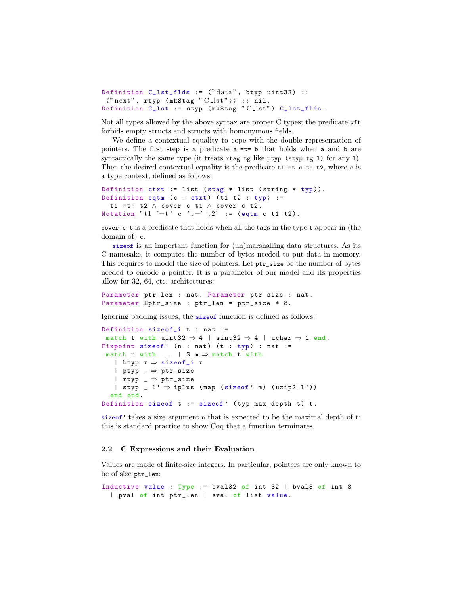```
Definition C_{{\texttt{last}}_{{\texttt{f}}}} 1ds := ("data", btyp uint32) ::
 ("next", tryp (mkStag "C_lst")) :: nil.Definition C_lst := styp (mkStag "C_lst") C_lst_flds.
```
Not all types allowed by the above syntax are proper C types; the predicate wft forbids empty structs and structs with homonymous fields.

We define a contextual equality to cope with the double representation of pointers. The first step is a predicate  $a = t = b$  that holds when a and b are syntactically the same type (it treats  $\tau \tau$  and  $\tau$ ) for any the same syntactically the same type it is the property of  $\tau$ Then the desired contextual equality is the predicate  $t_1 = t c t = t_2$ , where c is a type context, defined as follows:

```
Definition ctxt := list (stag * list (string * typ)).
Definition eqtm (c : ctxt) (t1 t2 : typ) :=
  t1 = t = t2 \land cover c t1 \land cover c t2.
Notation "t1 '=t' c 't =' t2" := (eqtm c t1 t2).
```
cover c t is a predicate that holds when all the tags in the type t appear in (the domain of) c.

sizeof is an important function for (un)marshalling data structures. As its C namesake, it computes the number of bytes needed to put data in memory. This requires to model the size of pointers. Let ptr\_size be the number of bytes needed to encode a pointer. It is a parameter of our model and its properties allow for 32, 64, etc. architectures:

Parameter ptr\_len : nat. Parameter ptr\_size : nat. Parameter Hptr\_size : ptr\_len = ptr\_size \* 8.

Ignoring padding issues, the sizeof function is defined as follows:

```
Definition sizeof_i t : nat :=
match t with uint32 \Rightarrow 4 | sint32 \Rightarrow 4 | uchar \Rightarrow 1 end.
Fixpoint sizeof' (n : nat) (t : typ) : nat :=
 match n with \dots | S m \Rightarrow match t with
   | btyp x ⇒ sizeof_i x
   | ptyp _ ⇒ ptr_size
   | rtyp \Box \Rightarrow ptr_size
   | styp _ l' \Rightarrow iplus (map (sizeof' m) (uzip2 l'))
  end end .
Definition sizeof t := sizeof' (typ_max_depth t) t.
```
sizeof' takes a size argument n that is expected to be the maximal depth of  $t$ : this is standard practice to show Coq that a function terminates.

## <span id="page-2-0"></span>2.2 C Expressions and their Evaluation

Values are made of finite-size integers. In particular, pointers are only known to be of size ptr\_len:

```
Inductive value : Type := bval32 of int 32 | bval8 of int 8
  | pval of int ptr_len | sval of list value .
```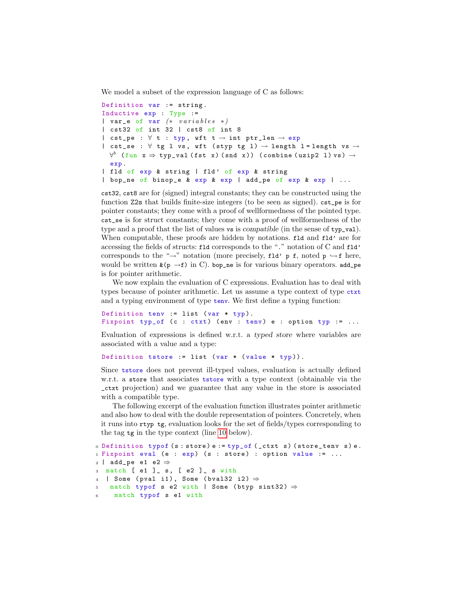We model a subset of the expression language of C as follows:

```
Definition var := string.
Inductive exp : Type :=
| var_e of var (* variables *)| cst32 of int 32 | cst8 of int 8
| cst_pe : \forall t : typ, wft t \rightarrow int ptr_len \rightarrow exp
| cst_se : \forall tg l vs, wft (styp tg l) \rightarrow length l=length vs \rightarrow\forall^b (fun \mathtt{x} \Rightarrow \mathtt{typ\_val} (fst \mathtt{x}) (snd \mathtt{x})) (combine (uzip2 l) \mathtt{vs}) \rightarrowexp .
| fld of exp & string | fld' of exp & string
| bop_ne of binop_e & exp & exp | add_pe of exp & exp | ...
```
cst32, cst8 are for (signed) integral constants; they can be constructed using the function Z2s that builds finite-size integers (to be seen as signed). cst\_pe is for pointer constants; they come with a proof of wellformedness of the pointed type. cst\_se is for struct constants; they come with a proof of wellformedness of the type and a proof that the list of values vs is compatible (in the sense of typ\_val). When computable, these proofs are hidden by notations. fld and fld' are for accessing the fields of structs: fld corresponds to the "." notation of C and fld' corresponds to the "→" notation (more precisely, fld' p f, noted p  $\hookrightarrow$  f here, would be written  $\&(p \rightarrow f)$  in C). bop\_ne is for various binary operators. add\_pe is for pointer arithmetic.

We now explain the evaluation of C expressions. Evaluation has to deal with types because of pointer arithmetic. Let us assume a type context of type ctxt and a typing environment of type tenv. We first define a typing function:

```
Definition tenv := list (var * typ).
Fixpoint typ_of (c : ctxt) (env : tenv) e : option typ := ...
```
Evaluation of expressions is defined w.r.t. a typed store where variables are associated with a value and a type:

Definition tstore := list ( $var * (value * typ)$ ).

Since tstore does not prevent ill-typed values, evaluation is actually defined w.r.t. a store that associates tstore with a type context (obtainable via the \_ctxt projection) and we guarantee that any value in the store is associated with a compatible type.

The following excerpt of the evaluation function illustrates pointer arithmetic and also how to deal with the double representation of pointers. Concretely, when it runs into rtyp tg, evaluation looks for the set of fields/types corresponding to the tag tg in the type context (line [10](#page-4-0) below).

```
0 Definition typof (s: store) e := typ_of (_ctxt s) (store_tenv s) e.
1 Fixpoint eval (e : exp) (s : store) : option value := ...
_2 | add_pe e1 e2 \Rightarrow3 match [ e1 ]_ s, [ e2 ]_ s with
_4 | Some (pval i1), Some (bval32 i2) \Rightarrowmatch typof s e2 with | Some (btyp sint32) \Rightarrowmatch typof s e1 with
```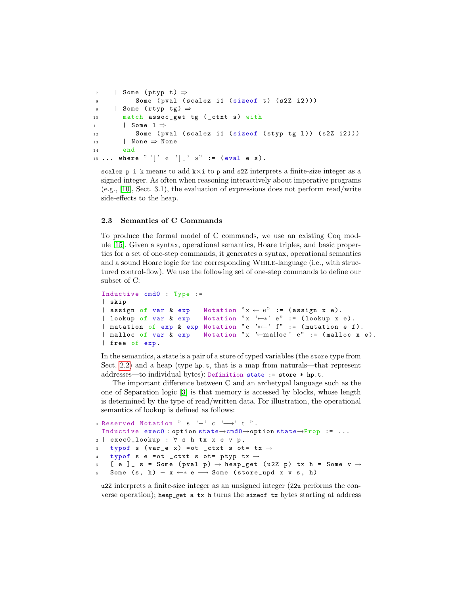```
\tau | Some (ptyp t) \Rightarrow8 Some ( pval ( scalez i1 ( size of t) ( s2Z i2 ) ) )
9 | Some (rtyp tg) \Rightarrow10 match assoc_get tg (_ctxt s) with
11 | Some 1 \Rightarrow12 Some ( pval ( scalez i1 ( size of ( styp tg 1 ) ) ( s2Z i2 ) ) )
13 | None \Rightarrow None
14 end
15 ... where "'[' e '] ' s" := (eval e s).
```
scalez p i k means to add  $k \times i$  to p and s2Z interprets a finite-size integer as a signed integer. As often when reasoning interactively about imperative programs (e.g., [\[10\]](#page-14-8), Sect. 3.1), the evaluation of expressions does not perform read/write side-effects to the heap.

#### 2.3 Semantics of C Commands

To produce the formal model of C commands, we use an existing Coq module [\[15\]](#page-14-9). Given a syntax, operational semantics, Hoare triples, and basic properties for a set of one-step commands, it generates a syntax, operational semantics and a sound Hoare logic for the corresponding While-language (i.e., with structured control-flow). We use the following set of one-step commands to define our subset of C:

```
Inductive cmd0 : Type :=
| skip
| assign of var & exp Notation x \leftarrow e^x := (assign x e).
| lookup of var & exp Notation "x '←*' e" := (lookup x e).
| mutation of exp & exp Notation "e '*←' f" := (mutation e f).
| malloc of var & exp Wotation "x '←malloc' e" := (malloc x e).
| free of exp .
```
In the semantics, a state is a pair of a store of typed variables (the store type from Sect. [2.2\)](#page-2-0) and a heap (type hp.t, that is a map from naturals—that represent addresses—to individual bytes): Definition state := store \* hp.t.

The important difference between C and an archetypal language such as the one of Separation logic [\[3\]](#page-14-5) is that memory is accessed by blocks, whose length is determined by the type of read/written data. For illustration, the operational semantics of lookup is defined as follows:

```
o Reserved Notation " s '-' c '\longrightarrow' t ".
1 Inductive exec0 : option state→cmd0→option state→Prop := ...
2 | exec0_lookup : ∀ s h tx x e v p ,
3 typof s (var_e x) = ot _ctxt s ot= tx \rightarrow4 typof s e = ot _ctxt s ot= ptyp tx \rightarrow5 [ e ] s = Some (pval p) \rightarrow heap get (u2Z p) tx h = Some v \rightarrowSome (s, h) – x \leftrightarrow e \longrightarrow Some (store_upd x v s, h)
```
u2Z interprets a finite-size integer as an unsigned integer (Z2u performs the converse operation); heap\_get a tx h turns the sizeof tx bytes starting at address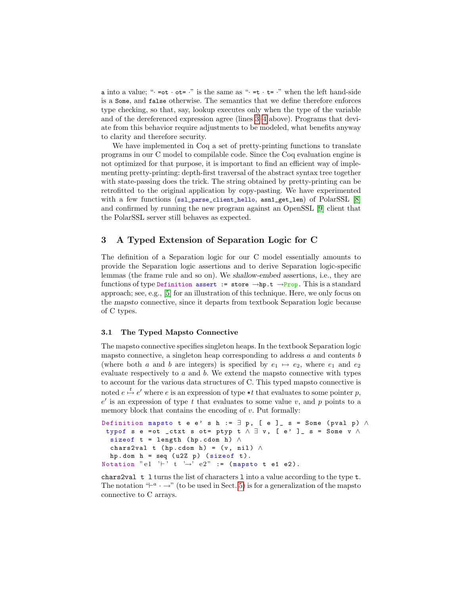a into a value; " $\cdot$  =ot  $\cdot$  ot=  $\cdot$ " is the same as " $\cdot$  =t  $\cdot$  t=  $\cdot$ " when the left hand-side is a Some, and false otherwise. The semantics that we define therefore enforces type checking, so that, say, lookup executes only when the type of the variable and of the dereferenced expression agree (lines [3–](#page-4-1)[4](#page-4-2) above). Programs that deviate from this behavior require adjustments to be modeled, what benefits anyway to clarity and therefore security.

We have implemented in Coq a set of pretty-printing functions to translate programs in our C model to compilable code. Since the Coq evaluation engine is not optimized for that purpose, it is important to find an efficient way of implementing pretty-printing: depth-first traversal of the abstract syntax tree together with state-passing does the trick. The string obtained by pretty-printing can be retrofitted to the original application by copy-pasting. We have experimented with a few functions (ssl\_parse\_client\_hello, asn1\_get\_len) of PolarSSL [\[8\]](#page-14-6) and confirmed by running the new program against an OpenSSL [\[9\]](#page-14-7) client that the PolarSSL server still behaves as expected.

## <span id="page-5-0"></span>3 A Typed Extension of Separation Logic for C

The definition of a Separation logic for our C model essentially amounts to provide the Separation logic assertions and to derive Separation logic-specific lemmas (the frame rule and so on). We shallow-embed assertions, i.e., they are functions of type Definition assert := store  $\rightarrow$ hp.t  $\rightarrow$ Prop. This is a standard approach; see, e.g., [\[5\]](#page-14-10) for an illustration of this technique. Here, we only focus on the mapsto connective, since it departs from textbook Separation logic because of C types.

#### <span id="page-5-1"></span>3.1 The Typed Mapsto Connective

The mapsto connective specifies singleton heaps. In the textbook Separation logic mapsto connective, a singleton heap corresponding to address  $a$  and contents  $b$ (where both a and b are integers) is specified by  $e_1 \mapsto e_2$ , where  $e_1$  and  $e_2$ evaluate respectively to  $a$  and  $b$ . We extend the mapsto connective with types to account for the various data structures of C. This typed mapsto connective is noted  $e \stackrel{t}{\mapsto} e'$  where e is an expression of type  $*t$  that evaluates to some pointer p,  $e'$  is an expression of type t that evaluates to some value v, and p points to a memory block that contains the encoding of  $v$ . Put formally:

```
Definition mapsto t e e' s h := \exists p, [ e ]_ s = Some (pval p) \wedgetypof s e = ot _ctxt s ot = ptyp t \land \exists v, [e' ] s = Some v \landsizeof t = length (hp.cdom h) \wedgechars2val t (hp.cdom h) = (v, nil) \wedgehp.dom h = seq (u2Z p) (size of t).
Notation "e1 '\vdash' t '\rightarrow' e2" := (mapsto t e1 e2).
```
chars2val t l turns the list of characters l into a value according to the type t. The notation  $-\rightarrow$ " (to be used in Sect. [5\)](#page-9-0) is for a generalization of the mapsto connective to C arrays.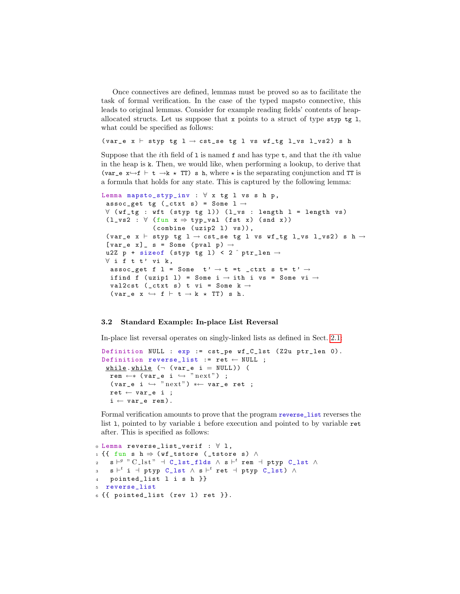Once connectives are defined, lemmas must be proved so as to facilitate the task of formal verification. In the case of the typed mapsto connective, this leads to original lemmas. Consider for example reading fields' contents of heapallocated structs. Let us suppose that x points to a struct of type styp tg 1, what could be specified as follows:

```
(var_e x \vdash styp tg 1 \rightarrow cst_se tg 1 vs wf_tg 1_vs 1_vs2) s h
```
Suppose that the *i*th field of  $1$  is named  $f$  and has type  $t$ , and that the *i*th value in the heap is k. Then, we would like, when performing a lookup, to derive that (var\_e  $x \rightarrow f$  + t  $\rightarrow k$   $\star$  TT) s h, where  $\star$  is the separating conjunction and TT is a formula that holds for any state. This is captured by the following lemma:

```
Lemma mapsto_styp_inv : \forall x tg l vs s h p,
 assoc_get tg (_ctxt s) = Some 1 \rightarrow∀ ( wf_tg : wft ( styp tg l )) ( l_vs : length l = length vs )
 (1_v s2 : \forall (fun x \Rightarrow typ_v a1 (fst x) (snd x))
                (combine (uzip2 1) vs)),(var_e x \vdash styp tg 1 \rightarrow cst_se tg 1 vs wf_tg 1_vs 1_vs2) s h \rightarrow[var_e x]  s = Some (pval p) \rightarrowu2Z p + sizeof (styp tg 1) < 2 \hat{ } ptr_len \rightarrow\forall if t t' vi k,
  assoc_get f l = Some t' \rightarrow t =t _ctxt s t= t' \rightarrowifind f (uzip1 l) = Some i \rightarrow ith i vs = Some vi \rightarrowval2cst (_ctxt s) t vi = Some k \rightarrow(var_e x \leftrightarrow f \vdash t \rightarrow k \times TT) s h.
```
## 3.2 Standard Example: In-place List Reversal

In-place list reversal operates on singly-linked lists as defined in Sect. [2.1:](#page-1-1)

```
Definition NULL : exp := cst_pe wf_C_lst ( Z2u ptr_len 0).
Definition reverse_list := ret \leftarrow NULL ;
 while . while (¬ (var_e i = NULL)) (
  rem ←* (var_e i \hookrightarrow "next") ;
  ( var_e i \hookrightarrow " next") *\leftarrow var_e ret ;
  ret \leftarrow var_e i;
  i \leftarrow \texttt{var_ee} \texttt{rem}).
```
Formal verification amounts to prove that the program reverse\_list reverses the list l, pointed to by variable i before execution and pointed to by variable ret after. This is specified as follows:

```
0 Lemma reverse_list_verif : ∀ l ,
_1 {{ fun s h \Rightarrow (wf_tstore (_tstore s) \wedge_2 s \vdash^g " C\_lst" \dashv C\_lst\_flds \land s \vdash^t rem \dashv ptyp C\_lst \land\mathbf{s} \quad \mathbf{s} \vdash^t \mathbf{i} \ \dashv \ \mathtt{ptyp} \ \mathtt{C\_lst} \ \land \ \mathtt{s} \vdash^t \mathtt{ret} \ \dashv \ \mathtt{ptyp} \ \mathtt{C\_lst} ) \ \land4 pointed_list l i s h }}
5 reverse_list
6 \{{{ pointed_list (rev 1) ret }}.
```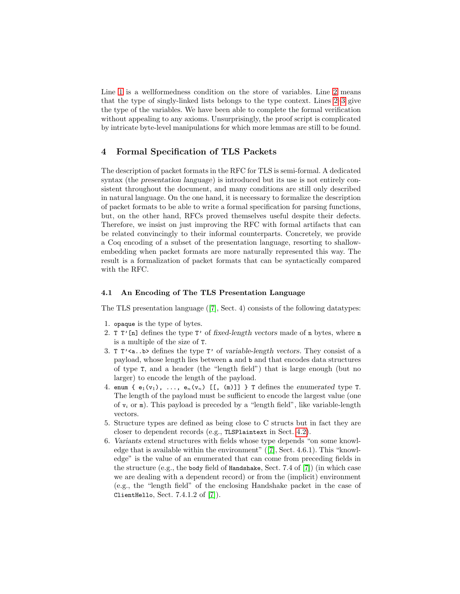Line [1](#page-6-0) is a wellformedness condition on the store of variables. Line [2](#page-6-1) means that the type of singly-linked lists belongs to the type context. Lines [2–](#page-6-1)[3](#page-6-2) give the type of the variables. We have been able to complete the formal verification without appealing to any axioms. Unsurprisingly, the proof script is complicated by intricate byte-level manipulations for which more lemmas are still to be found.

## <span id="page-7-0"></span>4 Formal Specification of TLS Packets

The description of packet formats in the RFC for TLS is semi-formal. A dedicated syntax (the presentation language) is introduced but its use is not entirely consistent throughout the document, and many conditions are still only described in natural language. On the one hand, it is necessary to formalize the description of packet formats to be able to write a formal specification for parsing functions, but, on the other hand, RFCs proved themselves useful despite their defects. Therefore, we insist on just improving the RFC with formal artifacts that can be related convincingly to their informal counterparts. Concretely, we provide a Coq encoding of a subset of the presentation language, resorting to shallowembedding when packet formats are more naturally represented this way. The result is a formalization of packet formats that can be syntactically compared with the RFC.

## 4.1 An Encoding of The TLS Presentation Language

The TLS presentation language ([\[7\]](#page-14-0), Sect. 4) consists of the following datatypes:

- 1. opaque is the type of bytes.
- 2. T  $\Gamma'$ [n] defines the type  $\Gamma'$  of fixed-length vectors made of n bytes, where n is a multiple of the size of T.
- 3. T T'<a..b> defines the type T' of variable-length vectors. They consist of a payload, whose length lies between a and b and that encodes data structures of type T, and a header (the "length field") that is large enough (but no larger) to encode the length of the payload.
- 4. enum {  $e_1(v_1)$ , ...,  $e_n(v_n)$  [[, (m)]] } T defines the enumerated type T. The length of the payload must be sufficient to encode the largest value (one of  $v_i$  or m). This payload is preceded by a "length field", like variable-length vectors.
- 5. Structure types are defined as being close to C structs but in fact they are closer to dependent records (e.g., TLSPlaintext in Sect. [4.2\)](#page-8-0).
- 6. Variants extend structures with fields whose type depends "on some knowledge that is available within the environment" ([\[7\]](#page-14-0), Sect. 4.6.1). This "knowledge" is the value of an enumerated that can come from preceding fields in the structure (e.g., the body field of Handshake, Sect. 7.4 of  $[7]$ ) (in which case we are dealing with a dependent record) or from the (implicit) environment (e.g., the "length field" of the enclosing Handshake packet in the case of ClientHello, Sect. 7.4.1.2 of [\[7\]](#page-14-0)).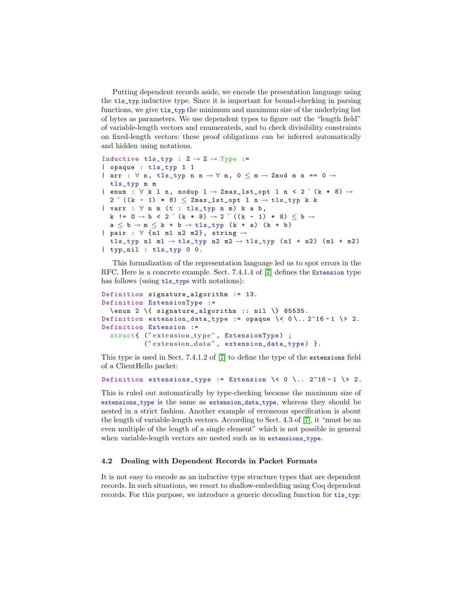Putting dependent records aside, we encode the presentation language using the tls\_typ inductive type. Since it is important for bound-checking in parsing functions, we give tls\_typ the minimum and maximum size of the underlying list of bytes as parameters. We use dependent types to figure out the "length field" of variable-length vectors and enumerateds, and to check divisibility constraints on fixed-length vectors: these proof obligations can be inferred automatically and hidden using notations.

```
Inductive tls_typ : Z \rightarrow Z \rightarrow Type :=
| opaque : tls_typ 1 1
| arr : \forall n, tls_typ n n \rightarrow \forall m, 0 \leq m \rightarrow Zmod m n == 0 \rightarrowtls_typ m m
| enum : \forall k l n, nodup l \rightarrow Zmax_lst_opt l n < 2 \hat{ } (k * 8) \rightarrow2 \hat{ } ((k - 1) * 8) \leq Zmax_lst_opt 1 n \rightarrow tls_typ k k
| varr : \forall n m (t : tls_typ n m) k a b,
  k != 0 → b < 2 ^ (k * 8) → 2 ^ ((k - 1) * 8) \leq b →
  a \leq b \rightarrow m \leq k + b \rightarrow tls_{\perp}typ (k + a) (k + b)| pair : \forall {n1 m1 n2 m2}, string \rightarrowtls_typ n1 m1 \rightarrow tls_typ n2 m2 \rightarrow tls_typ (n1 + n2) (m1 + m2)
| typ_nil : tls_typ 0 0.
```
This formalization of the representation language led us to spot errors in the RFC. Here is a concrete example. Sect. 7.4.1.4 of [\[7\]](#page-14-0) defines the Extension type has follows (using  $tls_tsys$  with notations):

```
Definition signature_algorithm := 13.
Definition ExtensionType :=
  \text{enum } 2 \setminus \{ \text{ signature}_\text{algorithm} :: \text{nil } \} 65535.Definition extension_data_type := opaque \ < 0\.. 2^16 - 1 \ > 2.
Definition Extension :=
  struct{ ("extension_type", ExtensionType) ;
            (" extension_data", extension_data_type) }.
```
This type is used in Sect. 7.4.1.2 of [\[7\]](#page-14-0) to define the type of the extensions field of a ClientHello packet:

```
Definition extensions_type := Extension \< 0 \.. 2^16 - 1 \> 2.
```
This is ruled out automatically by type-checking because the maximum size of extensions\_type is the same as extension\_data\_type, whereas they should be nested in a strict fashion. Another example of erroneous specification is about the length of variable-length vectors. According to Sect. 4.3 of [\[7\]](#page-14-0), it "must be an even multiple of the length of a single element" which is not possible in general when variable-length vectors are nested such as in extensions\_type.

## <span id="page-8-0"></span>4.2 Dealing with Dependent Records in Packet Formats

It is not easy to encode as an inductive type structure types that are dependent records. In such situations, we resort to shallow-embedding using Coq dependent records. For this purpose, we introduce a generic decoding function for  $tls\_typ$ :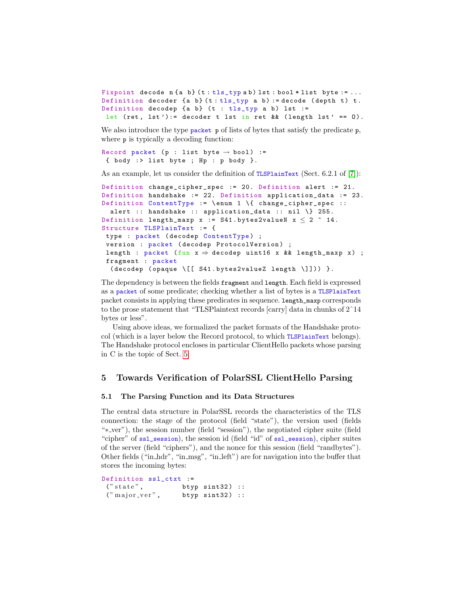```
Fixpoint decode n \{a \ b\} (t: tls_typ ab) lst: bool * list byte := ...
Definition decoder {a b} (t : tls\_typ a b) := decode (depth t) t.
Definition decodep {a b} (t : tls_typ a b) lst :=
 let (ret, 1st):= decoder t 1st in ret && (length 1st' == 0).
```
We also introduce the type packet  $p$  of lists of bytes that satisfy the predicate  $p$ , where  $p$  is typically a decoding function:

```
Record packet (p : list byte \rightarrow bool) :=
 { body :> list byte ; Hp : p body }.
```
As an example, let us consider the definition of TLSPlainText (Sect. 6.2.1 of [\[7\]](#page-14-0)):

```
Definition change_cipher_spec := 20. Definition alert := 21.
Definition handshake := 22. Definition application_data := 23.
Definition ContentType := \ enum 1 \{ change_cipher_spec ::
  alert :: handshake :: application_data :: nil \{ 255.
Definition length_maxp x := S41.bytes2valueN x \le 2 ^ 14.
Structure TLSPlainText := {
 type : packet (decodep ContentType) ;
 version : packet (decodep ProtocolVersion) ;
 length : packet (fun x \Rightarrow decodep uint16 x && length_maxp x) ;
 fragment : packet
  ( decodep ( opaque \[[ S41 . bytes2valueZ length \]])) }.
```
The dependency is between the fields fragment and length. Each field is expressed as a packet of some predicate; checking whether a list of bytes is a TLSPlainText packet consists in applying these predicates in sequence. length\_maxp corresponds to the prose statement that "TLSPlaintext records [carry] data in chunks of 2ˆ14 bytes or less".

Using above ideas, we formalized the packet formats of the Handshake protocol (which is a layer below the Record protocol, to which TLSPlainText belongs). The Handshake protocol encloses in particular ClientHello packets whose parsing in C is the topic of Sect. [5.](#page-9-0)

## <span id="page-9-0"></span>5 Towards Verification of PolarSSL ClientHello Parsing

#### 5.1 The Parsing Function and its Data Structures

The central data structure in PolarSSL records the characteristics of the TLS connection: the stage of the protocol (field "state"), the version used (fields "∗ ver"), the session number (field "session"), the negotiated cipher suite (field "cipher" of ssl\_session), the session id (field "id" of ssl\_session), cipher suites of the server (field "ciphers"), and the nonce for this session (field "randbytes"). Other fields ("in hdr", "in msg", "in left") are for navigation into the buffer that stores the incoming bytes:

```
Definition ssl_ctxt :=
 (" state", btyp sint32) ::
 ("major\_ver", btyp sint32) ::
```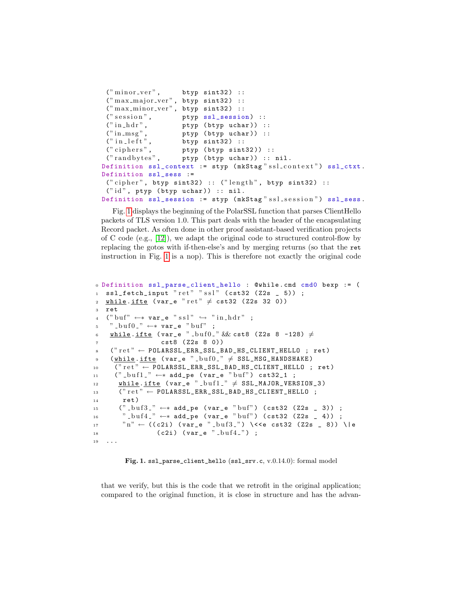```
("minor\_ver", btyp sint32) ::
 ("max_major\_ver", btyp sint32) ::("max-minor\_ver", btyp sint32) ::(" session", \qquad \qquad \texttt{ptyp} \; \texttt{ssl\_session}) \; ::("in_hdr", ptyp (btyp uchar)) ::
 ("in_m s g", ptyp (btyp uchar)) ::<br>("in_l e f t", btyp sint32) ::
                      btyp sint32) ::
 (" ciphers", p \text{ typ (btyp sint32)} ::<br>(" randbytes", p \text{ typ (btyp uchar)} ::
                      ptyp (btyp uchar)) :: nil.
Definition ss1</u>context := <math>styp (mkStag"ssl_context") ssl_ctxt.
Definition ssl_sess :=
 (" cipher", btyp sint32) :: ("length", btyp sint32) ::("id", ptyp (btyp uchar)) :: nil.Definition ssl_session := styp (mkStag" ssl_session") ssl_sess.
```
Fig. [1](#page-10-0) displays the beginning of the PolarSSL function that parses ClientHello packets of TLS version 1.0. This part deals with the header of the encapsulating Record packet. As often done in other proof assistant-based verification projects of C code (e.g., [\[12\]](#page-14-11)), we adapt the original code to structured control-flow by replacing the gotos with if-then-else's and by merging returns (so that the ret instruction in Fig. [1](#page-10-0) is a nop). This is therefore not exactly the original code

```
0 Definition ssl_parse_client_hello : @while . cmd cmd0 bexp := (
1 ssl_fetch_input "ret" "ss1" (cts32 (Z2s = 5)) ;
2 while .ifte (var_e "ret" \neq cst32 (Z2s 32 0))
3 ret
4 (" buf" \leftarrow* var_e " s s l" \hookrightarrow " in_hdr" ;
5 " -buf0 " \leftrightarrow var_e " buf";
6 while .ifte (var_e " _buf0 _ " && cst8 (Z2s 8 -128) \neqcst8 ( Z2s 8 0))
s ("ret" \leftarrow POLARSSL_ERR_SSL_BAD_HS_CLIENT_HELLO ; ret)
9 (while . ifte (var_e "_buf0_" \neq SSL_MSG_HANDSHAKE)
10 ("ret" \leftarrow POLARSSL_ERR_SSL_BAD_HS_CLIENT_HELLO ; ret)
11 (" \text{butf1} " ←* add_pe (var_e "buf") cst32_1 ;
\frac{12}{12} while ifte (var_e " buf1 " \neq SSL_MAJOR_VERSION_3)
13 ("ret" \leftarrow POLARSSL_ERR_SSL_BAD_HS_CLIENT_HELLO ;
14 ret)
15 (" _{-}\text{buf3}' _{-} \leftrightarrow add_pe (var_e "buf") (cst32 (Z2s _ 3)) ;
16 " \text{but/4} " \leftrightarrow add_pe (var_e "buf") (cst32 (Z2s _ 4)) ;
17 \t m'' \leftarrow ((c2i) (var_e " - buf3 -") \ \ \times\ cst32 (Z2s _ 8)) \|e
18 (c2i) (var_e "but4);
19 ...
```
<span id="page-10-0"></span>Fig. 1. ssl\_parse\_client\_hello (ssl\_srv.c, v.0.14.0): formal model

that we verify, but this is the code that we retrofit in the original application; compared to the original function, it is close in structure and has the advan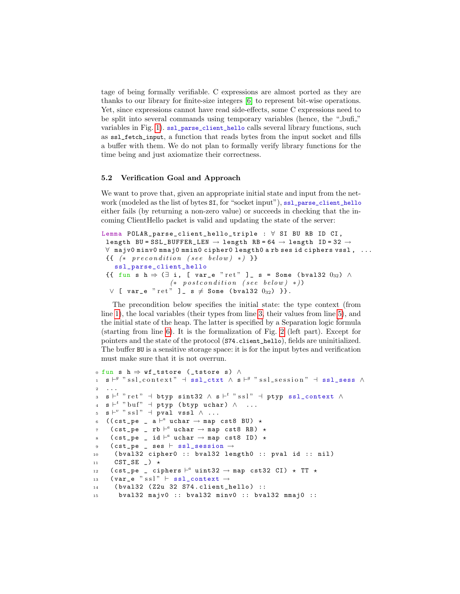tage of being formally verifiable. C expressions are almost ported as they are thanks to our library for finite-size integers [\[6\]](#page-14-12) to represent bit-wise operations. Yet, since expressions cannot have read side-effects, some C expressions need to be split into several commands using temporary variables (hence, the "-bufi-" variables in Fig. [1\)](#page-10-0). ssl\_parse\_client\_hello calls several library functions, such as ssl\_fetch\_input, a function that reads bytes from the input socket and fills a buffer with them. We do not plan to formally verify library functions for the time being and just axiomatize their correctness.

## 5.2 Verification Goal and Approach

We want to prove that, given an appropriate initial state and input from the network (modeled as the list of bytes SI, for "socket input"), ssl\_parse\_client\_hello either fails (by returning a non-zero value) or succeeds in checking that the incoming ClientHello packet is valid and updating the state of the server:

```
Lemma POLAR_parse_client_hello_triple : ∀ SI BU RB ID CI ,
 length BU = SSL_BUFFER_LEN \rightarrow length RB = 64 \rightarrow length ID = 32 \rightarrow∀ majv0 minv0 mmaj0 mmin0 cipher0 length0 a rb ses id ciphers vssl , ...
 {f} (* precondition (see below) *) }}
   ssl_parse_client_hello
 \{{ fun s h \Rightarrow (\exists i, [ var_e "ret" ] _ s = Some (bval32 032) \wedge(*\;\; postcondition\;\; (see\;\; below)\;\; *))∨ [ var_e " ret" ] s \neq Some (bval32 0_{32}) }}.
```
The precondition below specifies the initial state: the type context (from line [1\)](#page-11-0), the local variables (their types from line [3,](#page-11-1) their values from line [5\)](#page-11-2), and the initial state of the heap. The latter is specified by a Separation logic formula (starting from line [6\)](#page-11-3). It is the formalization of Fig. [2](#page-12-0) (left part). Except for pointers and the state of the protocol (S74.client\_hello), fields are uninitialized. The buffer BU is a sensitive storage space: it is for the input bytes and verification must make sure that it is not overrun.

```
0 fun s h \Rightarrow wf_tstore (_tstore s) \wedge_1 s \vdash^g "ssl_context" \dashv ssl_ctxt \wedge s \vdash^g "ssl_session" \dashv ssl_sess \wedge2 ...
 _3 s \vdash^t "ret" \dashv btyp sint32 \wedge s \vdash^t "ssl" \dashv ptyp ssl_context \wedge_4 s \vdash^t "buf" \dashv ptyp (btyp uchar) \wedge ...
 \mathbf{s} \in \mathbb{R}^{v \times v} \text{ss} \mathbb{R}^v \text{ and } \text{vs} \mathbb{R}^v \text{ and } \cdots_6 ((cst_pe _ a \vdash^a uchar \rightarrow map cst8 BU) \star\tau (cst_pe _ rb \vdash^a uchar \rightarrow map cst8 RB) \star8 (cst\_pe \_ id \vdash^a uchar \rightarrow map cst8 ID) \star9 (cst_pe _ ses \vdash ssl_session \rightarrow10 ( bval32 cipher0 :: bval32 length0 :: pval id :: nil )
11 CST_SE _) \star_{12} (cst_pe _ ciphers \vdash^a uint32 \rightarrow map cst32 CI) \star TT \star13 (var_e" ssl" \vdash ssl_context \rightarrow14 ( bval32 ( Z2u 32 S74 . client_hello ) ::
15 bval32 majv0 :: bval32 minv0 :: bval32 mmaj0 ::
```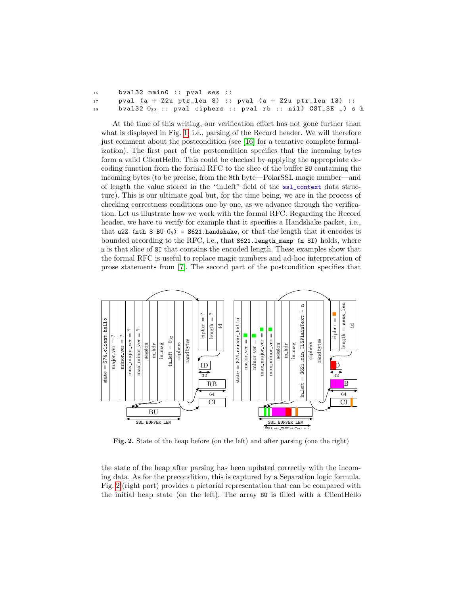| 16      | bval32 $mmin0$ :: pval ses ::                                          |
|---------|------------------------------------------------------------------------|
| 17 - 17 | pval $(a + Z2u$ ptr_len 8) :: pval $(a + Z2u$ ptr_len 13) ::           |
| 18      | bval32 $0_{32}$ :: pval ciphers :: pval rb :: nil) $CST\_SE$ $_$ ) s h |

At the time of this writing, our verification effort has not gone further than what is displayed in Fig. [1,](#page-10-0) i.e., parsing of the Record header. We will therefore just comment about the postcondition (see [\[16\]](#page-15-0) for a tentative complete formalization). The first part of the postcondition specifies that the incoming bytes form a valid ClientHello. This could be checked by applying the appropriate decoding function from the formal RFC to the slice of the buffer BU containing the incoming bytes (to be precise, from the 8th byte—PolarSSL magic number—and of length the value stored in the "in left" field of the ssl\_context data structure). This is our ultimate goal but, for the time being, we are in the process of checking correctness conditions one by one, as we advance through the verification. Let us illustrate how we work with the formal RFC. Regarding the Record header, we have to verify for example that it specifies a Handshake packet, i.e., that u2Z (nth 8 BU  $0_8$ ) = S621.handshake, or that the length that it encodes is bounded according to the RFC, i.e., that S621.length\_maxp (n SI) holds, where n is that slice of SI that contains the encoded length. These examples show that the formal RFC is useful to replace magic numbers and ad-hoc interpretation of prose statements from [\[7\]](#page-14-0). The second part of the postcondition specifies that



<span id="page-12-0"></span>Fig. 2. State of the heap before (on the left) and after parsing (one the right)

the state of the heap after parsing has been updated correctly with the incoming data. As for the precondition, this is captured by a Separation logic formula. Fig. [2](#page-12-0) (right part) provides a pictorial representation that can be compared with the initial heap state (on the left). The array BU is filled with a ClientHello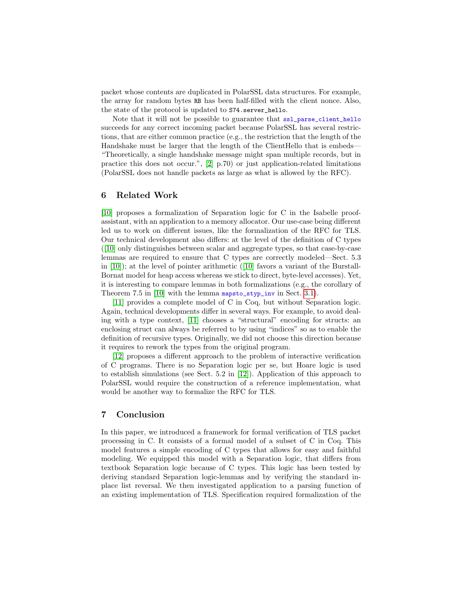packet whose contents are duplicated in PolarSSL data structures. For example, the array for random bytes RB has been half-filled with the client nonce. Also, the state of the protocol is updated to S74.server\_hello.

Note that it will not be possible to guarantee that ssl\_parse\_client\_hello succeeds for any correct incoming packet because PolarSSL has several restrictions, that are either common practice (e.g., the restriction that the length of the Handshake must be larger that the length of the ClientHello that is embeds— "Theoretically, a single handshake message might span multiple records, but in practice this does not occur.", [\[2\]](#page-14-13) p.70) or just application-related limitations (PolarSSL does not handle packets as large as what is allowed by the RFC).

## 6 Related Work

[\[10\]](#page-14-8) proposes a formalization of Separation logic for C in the Isabelle proofassistant, with an application to a memory allocator. Our use-case being different led us to work on different issues, like the formalization of the RFC for TLS. Our technical development also differs: at the level of the definition of C types ([\[10\]](#page-14-8) only distinguishes between scalar and aggregate types, so that case-by-case lemmas are required to ensure that C types are correctly modeled—Sect. 5.3 in  $[10]$ ; at the level of pointer arithmetic  $[10]$  favors a variant of the Burstall-Bornat model for heap access whereas we stick to direct, byte-level accesses). Yet, it is interesting to compare lemmas in both formalizations (e.g., the corollary of Theorem 7.5 in [\[10\]](#page-14-8) with the lemma mapsto\_styp\_inv in Sect. [3.1\)](#page-5-1).

[\[11\]](#page-14-14) provides a complete model of C in Coq, but without Separation logic. Again, technical developments differ in several ways. For example, to avoid dealing with a type context, [\[11\]](#page-14-14) chooses a "structural" encoding for structs: an enclosing struct can always be referred to by using "indices" so as to enable the definition of recursive types. Originally, we did not choose this direction because it requires to rework the types from the original program.

[\[12\]](#page-14-11) proposes a different approach to the problem of interactive verification of C programs. There is no Separation logic per se, but Hoare logic is used to establish simulations (see Sect. 5.2 in [\[12\]](#page-14-11)). Application of this approach to PolarSSL would require the construction of a reference implementation, what would be another way to formalize the RFC for TLS.

## 7 Conclusion

In this paper, we introduced a framework for formal verification of TLS packet processing in C. It consists of a formal model of a subset of C in Coq. This model features a simple encoding of C types that allows for easy and faithful modeling. We equipped this model with a Separation logic, that differs from textbook Separation logic because of C types. This logic has been tested by deriving standard Separation logic-lemmas and by verifying the standard inplace list reversal. We then investigated application to a parsing function of an existing implementation of TLS. Specification required formalization of the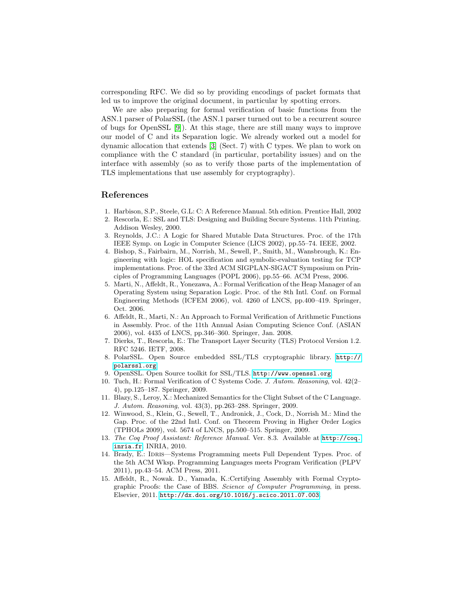corresponding RFC. We did so by providing encodings of packet formats that led us to improve the original document, in particular by spotting errors.

We are also preparing for formal verification of basic functions from the ASN.1 parser of PolarSSL (the ASN.1 parser turned out to be a recurrent source of bugs for OpenSSL [\[9\]](#page-14-7)). At this stage, there are still many ways to improve our model of C and its Separation logic. We already worked out a model for dynamic allocation that extends [\[3\]](#page-14-5) (Sect. 7) with C types. We plan to work on compliance with the C standard (in particular, portability issues) and on the interface with assembly (so as to verify those parts of the implementation of TLS implementations that use assembly for cryptography).

## References

- <span id="page-14-1"></span>1. Harbison, S.P., Steele, G.L: C: A Reference Manual. 5th edition. Prentice Hall, 2002
- <span id="page-14-13"></span>2. Rescorla, E.: SSL and TLS: Designing and Building Secure Systems. 11th Printing. Addison Wesley, 2000.
- <span id="page-14-5"></span>3. Reynolds, J.C.: A Logic for Shared Mutable Data Structures. Proc. of the 17th IEEE Symp. on Logic in Computer Science (LICS 2002), pp.55–74. IEEE, 2002.
- <span id="page-14-2"></span>4. Bishop, S., Fairbairn, M., Norrish, M., Sewell, P., Smith, M., Wansbrough, K.: Engineering with logic: HOL specification and symbolic-evaluation testing for TCP implementations. Proc. of the 33rd ACM SIGPLAN-SIGACT Symposium on Principles of Programming Languages (POPL 2006), pp.55–66. ACM Press, 2006.
- <span id="page-14-10"></span>5. Marti, N., Affeldt, R., Yonezawa, A.: Formal Verification of the Heap Manager of an Operating System using Separation Logic. Proc. of the 8th Intl. Conf. on Formal Engineering Methods (ICFEM 2006), vol. 4260 of LNCS, pp.400–419. Springer, Oct. 2006.
- <span id="page-14-12"></span>6. Affeldt, R., Marti, N.: An Approach to Formal Verification of Arithmetic Functions in Assembly. Proc. of the 11th Annual Asian Computing Science Conf. (ASIAN 2006), vol. 4435 of LNCS, pp.346–360. Springer, Jan. 2008.
- <span id="page-14-0"></span>7. Dierks, T., Rescorla, E.: The Transport Layer Security (TLS) Protocol Version 1.2. RFC 5246. IETF, 2008.
- <span id="page-14-6"></span>8. PolarSSL. Open Source embedded SSL/TLS cryptographic library. [http://](http://polarssl.org) [polarssl.org](http://polarssl.org).
- <span id="page-14-7"></span>9. OpenSSL. Open Source toolkit for SSL/TLS. <http://www.openssl.org>.
- <span id="page-14-8"></span>10. Tuch, H.: Formal Verification of C Systems Code. J. Autom. Reasoning, vol. 42(2– 4), pp.125–187. Springer, 2009.
- <span id="page-14-14"></span>11. Blazy, S., Leroy, X.: Mechanized Semantics for the Clight Subset of the C Language. J. Autom. Reasoning, vol. 43(3), pp.263–288. Springer, 2009.
- <span id="page-14-11"></span>12. Winwood, S., Klein, G., Sewell, T., Andronick, J., Cock, D., Norrish M.: Mind the Gap. Proc. of the 22nd Intl. Conf. on Theorem Proving in Higher Order Logics (TPHOLs 2009), vol. 5674 of LNCS, pp.500–515. Springer, 2009.
- <span id="page-14-4"></span>13. The Coq Proof Assistant: Reference Manual. Ver. 8.3. Available at [http://coq.](http://coq.inria.fr) [inria.fr](http://coq.inria.fr). INRIA, 2010.
- <span id="page-14-3"></span>14. Brady, E.: IDRIS-Systems Programming meets Full Dependent Types. Proc. of the 5th ACM Wksp. Programming Languages meets Program Verification (PLPV 2011), pp.43–54. ACM Press, 2011.
- <span id="page-14-9"></span>15. Affeldt, R., Nowak. D., Yamada, K.:Certifying Assembly with Formal Cryptographic Proofs: the Case of BBS. Science of Computer Programming, in press. Elsevier, 2011. <http://dx.doi.org/10.1016/j.scico.2011.07.003>.